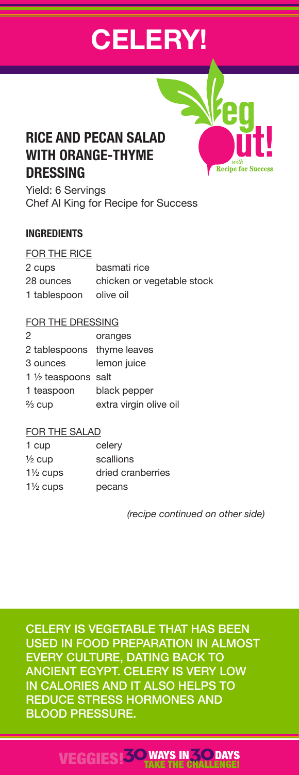# **CELERY!**

# **RICE AND PECAN SALAD WITH ORANGE-THYME DRESSING**

Yield: 6 Servings Chef Al King for Recipe for Success

#### **INGREDIENTS**

#### FOR THE RICE

| 2 cups       | basmati rice               |
|--------------|----------------------------|
| 28 ounces    | chicken or vegetable stock |
| 1 tablespoon | olive oil                  |

#### FOR THE DRESSING

| oranges                        |
|--------------------------------|
| 2 tablespoons thyme leaves     |
| lemon juice                    |
| 1 $\frac{1}{2}$ teaspoons salt |
| black pepper                   |
| extra virgin olive oil         |
|                                |

#### FOR THE SALAD

| celery            |
|-------------------|
| scallions         |
| dried cranberries |
| pecans            |
|                   |

 *(recipe continued on other side)*

**Recipe for Succes** 

CELERY IS VEGETABLE THAT HAS BEEN USED IN FOOD PREPARATION IN ALMOST EVERY CULTURE, DATING BACK TO ANCIENT EGYPT. CELERY IS VERY LOW IN CALORIES AND IT ALSO HELPS TO REDUCE STRESS HORMONES AND BLOOD PRESSURE.

### VEGGIES!**30**WAYS IN**30** TAKE THE CHALLENGE! **DAYS**